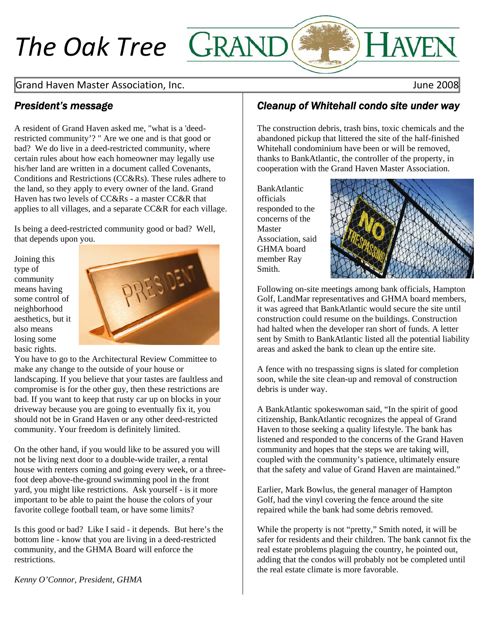# *The Oak Tree*

#### Grand Haven Master Association, Inc. **Show the Contract of the COS** and the United States of the COOS

#### *President's message*

A resident of Grand Haven asked me, "what is a 'deedrestricted community'? " Are we one and is that good or bad? We do live in a deed-restricted community, where certain rules about how each homeowner may legally use his/her land are written in a document called Covenants, Conditions and Restrictions (CC&Rs). These rules adhere to the land, so they apply to every owner of the land. Grand Haven has two levels of CC&Rs - a master CC&R that applies to all villages, and a separate CC&R for each village.

Is being a deed-restricted community good or bad? Well, that depends upon you.

Joining this type of community means having some control o f neighborhood aesthetics, b ut it also means losing some basic rights.



You have to go to the Architectural Review Committee to make any change to the outside of your house or landscaping. If you believe that your tastes are faultless and compromise is for the other guy, then these restrictions are bad. If you want to keep that rusty car up on blocks in your driveway because you are going to eventually fix it, you should not be in Grand Haven or any other deed-restricted community. Your freedom is definitely limited.

On the other hand, if you would like to be assured you will house with renters coming and going every week, or a threeimportant to be able to paint the house the colors of your favorite college football team, or have some limits? not be living next door to a double-wide trailer, a rental foot deep above-the-ground swimming pool in the front yard, you might like restrictions. Ask yourself - is it more

Is this good or bad? Like I said - it depends. But here's the bottom line - know that you are living in a deed-restricted community, and the GHMA Board will enforce the restrictions.

Kenny O'Connor, President, GHMA

### *Cleanup of Whitehall condo site under way*

The construction debris, trash bins, toxic chemicals and the abandoned pickup that littered the site of the half-finished Whitehall condominium have been or will be removed, thanks to BankAtlantic, the controller of the property, in cooperation with the Grand Haven Master Association.

BankAtlantic officials responded to the concerns of the **Master** Association, said GHMA board member Ray Smith.



Following on-site meetings among bank officials, Hampton Golf, LandMar representatives and GHMA board members, it was agreed that BankAtlantic would secure the site until construction could resume on the buildings. Construction had halted when the developer ran short of funds. A letter sent by Smith to BankAtlantic listed all the potential liability areas and asked the bank to clean up the entire site.

A fence with no trespassing signs is slated for completion soon, while the site clean-up and removal of construction debris is under way.

A BankAtlantic spokeswoman said, "In the spirit of good citizenship, BankAtlantic recognizes the appeal of Grand Haven to those seeking a quality lifestyle. The bank has listened and responded to the concerns of the Grand Haven community and hopes that the steps we are taking will, coupled with the community's patience, ultimately ensure that the safety and value of Grand Haven are maintained."

Earlier, Mark Bowlus, the general manager of Hampton Golf, had the vinyl covering the fence around the site repaired while the bank had some debris removed.

While the property is not "pretty," Smith noted, it will be safer for residents and their children. The bank cannot fix the real estate problems plaguing the country, he pointed out, adding that the condos will probably not be completed until the real estate climate is more favorable.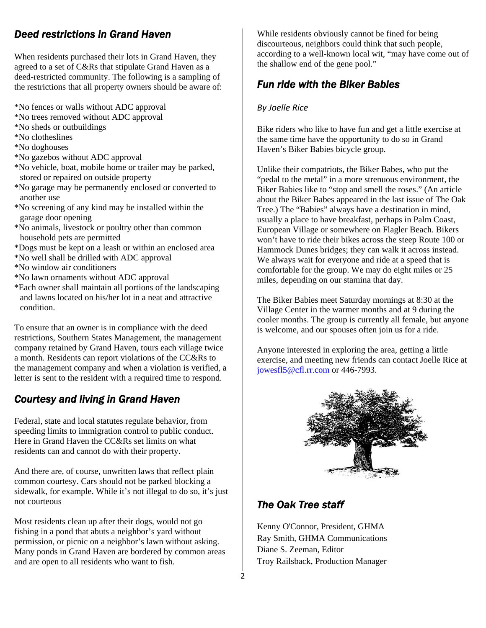When residents purchased their lots in Grand Haven, they agreed to a set of C&Rs that stipulate Grand Haven as a deed-restricted community. The following is a sampling of the restrictions that all property owners should be aware of: *Fun ride with the Biker Babies* 

- \*No fences or walls without ADC approval *By Joelle Rice*
- \*No trees removed without ADC approval
- 
- \*No clotheslines
- \*No doghouses
- \*No gazebos without ADC approval
- \*No vehicle, boat, mobile home or trailer may be parked, No vehicle, boat, mobile home or trailer may be parked,<br>stored or repaired on outside property<br>the part of the metal'' in a more strenuous environment of
- \*No garage may be permanently enclosed or converted to another use
- \*No screening of any kind may be installed within the garage door opening
- \*No animals, livestock or poultry other than common household pets are permitted
- \*Dogs must be kept on a leash or within an enclosed area
- \*No well shall be drilled with ADC approval
- \*No window air conditioners
- \*No lawn ornaments without ADC approval
- \*Each owner shall maintain all portions of the landscaping and lawns located on his/her lot in a neat and attractive condition.

company retained by Grand Haven, tours each village twice a month. Residents can report violations of the CC&Rs to the management company and when a violation is verified, a letter is sent to the resident with a required time to respond.

### *Courtesy and living in Grand Haven*

Federal, state and local statutes regulate behavior, from speeding limits to immigration control to public conduct. Here in Grand Haven the CC&Rs set limits on what residents can and cannot do with their property.

And there are, of course, unwritten laws that reflect plain common courtesy. Cars should not be parked blocking a sidewalk, for example. While it's not illegal to do so, it's just not courteous

Most residents clean up after their dogs, would not go fishing in a pond that abuts a neighbor's yard without permission, or picnic on a neighbor's lawn without asking. Many ponds in Grand Haven are bordered by common areas and are open to all residents who want to fish.

**Deed restrictions in Grand Haven While residents obviously cannot be fined for being** discourteous, neighbors could think that such people, according to a well-known local wit, "may have come out of the shallow end of the gene pool."

\*No sheds or outbuildings Bike riders who like to have fun and get a little exercise at the same time have the opportunity to do so in Grand Haven's Biker Babies bicycle group.

> "pedal to the metal" in a more strenuous environment, the Biker Babies like to "stop and smell the roses." (An article about the Biker Babes appeared in the last issue of The Oak Tree.) The "Babies" always have a destination in mind, usually a place to have breakfast, perhaps in Palm Coast, European Village or somewhere on Flagler Beach. Bikers won't have to ride their bikes across the steep Route 100 or Hammock Dunes bridges; they can walk it across instead. We always wait for everyone and ride at a speed that is comfortable for the group. We may do eight miles or 25 miles, depending on our stamina that day.

The Biker Babies meet Saturday mornings at 8:30 at the Village Center in the warmer months and at 9 during the To ensure that an owner is in compliance with the deed<br>restrictions, Southern States Management, the management

> Anyone interested in exploring the area, getting a little exercise, and meeting new friends can contact Joelle Rice at [jowesfl5@cfl.rr.com](mailto:jowesfl5@cfl.rr.com) or 446-7993.



### *The Oak Tree staff*

Kenny O'Connor, President, GHMA Ray Smith, GHMA Communications Diane S. Zeeman, Editor Troy Railsback, Production Manager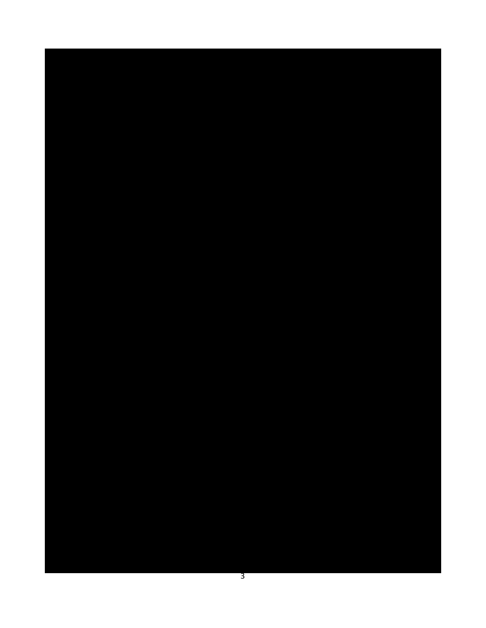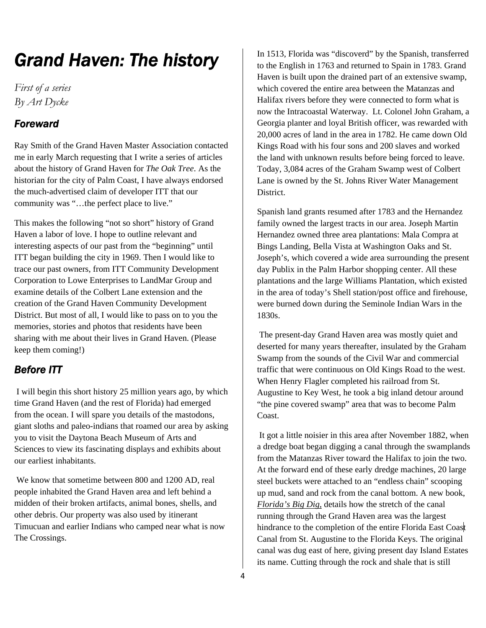## *Grand Haven: The history*

*First of a series By Art Dycke* 

#### *Foreward*

Ray Smith of the Grand Haven Master Association contacted me in early March requesting that I write a series of articles about the history of Grand Haven for *The Oak Tree*. As the historian for the city of Palm Coast, I have always endorsed the much-advertised claim of developer ITT that our community was "…the perfect place to live."

This makes the following "not so short" history of Grand Haven a labor of love. I hope to outline relevant and interesting aspects of our past from the "beginning" until ITT began building the city in 1969. Then I would like to trace our past owners, from ITT Community Development Corporation to Lowe Enterprises to LandMar Group and examine details of the Colbert Lane extension and the creation of the Grand Haven Community Development District. But most of all, I would like to pass on to you the memories, stories and photos that residents have been sharing with me about their lives in Grand Haven. (Please keep them coming!)

#### *Before ITT*

 I will begin this short history 25 million years ago, by which time Grand Haven (and the rest of Florida) had emerged from the ocean. I will spare you details of the mastodons, giant sloths and paleo-indians that roamed our area by asking you to visit the Daytona Beach Museum of Arts and Sciences to view its fascinating displays and exhibits about our earliest inhabitants.

 We know that sometime between 800 and 1200 AD, real people inhabited the Grand Haven area and left behind a midden of their broken artifacts, animal bones, shells, and other debris. Our property was also used by itinerant Timucuan and earlier Indians who camped near what is now The Crossings.

In 1513, Florida was "discoverd" by the Spanish, transferred to the English in 1763 and returned to Spain in 1783. Grand Haven is built upon the drained part of an extensive swamp, which covered the entire area between the Matanzas and Halifax rivers before they were connected to form what is now the Intracoastal Waterway. Lt. Colonel John Graham, a Georgia planter and loyal British officer, was rewarded with 20,000 acres of land in the area in 1782. He came down Old Kings Road with his four sons and 200 slaves and worked the land with unknown results before being forced to leave. Today, 3,084 acres of the Graham Swamp west of Colbert Lane is owned by the St. Johns River Water Management District.

Spanish land grants resumed after 1783 and the Hernandez family owned the largest tracts in our area. Joseph Martin Hernandez owned three area plantations: Mala Compra at Bings Landing, Bella Vista at Washington Oaks and St. Joseph's, which covered a wide area surrounding the present day Publix in the Palm Harbor shopping center. All these plantations and the large Williams Plantation, which existed in the area of today's Shell station/post office and firehouse, were burned down during the Seminole Indian Wars in the 1830s.

 The present-day Grand Haven area was mostly quiet and deserted for many years thereafter, insulated by the Graham Swamp from the sounds of the Civil War and commercial traffic that were continuous on Old Kings Road to the west. When Henry Flagler completed his railroad from St. Augustine to Key West, he took a big inland detour around "the pine covered swamp" area that was to become Palm Coast.

 It got a little noisier in this area after November 1882, when a dredge boat began digging a canal through the swamplands from the Matanzas River toward the Halifax to join the two. At the forward end of these early dredge machines, 20 large steel buckets were attached to an "endless chain" scooping up mud, sand and rock from the canal bottom. A new book, *Florida's Big Dig,* details how the stretch of the canal running through the Grand Haven area was the largest hindrance to the completion of the entire Florida East Coast Canal from St. Augustine to the Florida Keys. The original canal was dug east of here, giving present day Island Estates its name. Cutting through the rock and shale that is still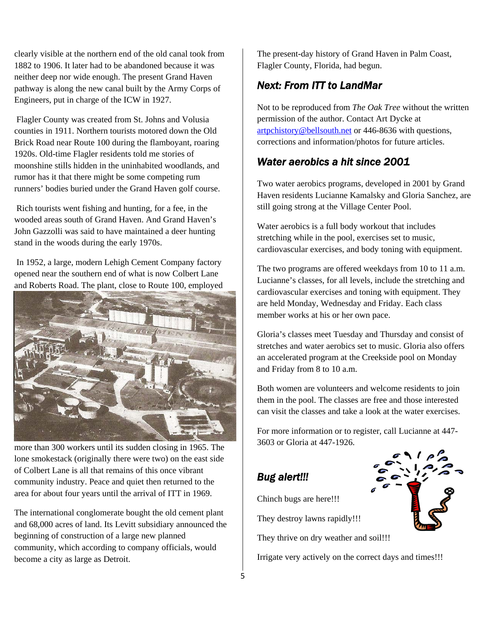clearly visible at the northern end of the old canal took from 1882 to 1906. It later had to be abandoned because it was neither deep nor wide enough. The present Grand Haven pathway is along the new canal built by the Army Corps of Engineers, put in charge of the ICW in 1927.

 Flagler County was created from St. Johns and Volusia counties in 1911. Northern tourists motored down the Old Brick Road near Route 100 during the flamboyant, roaring 1920s. Old-time Flagler residents told me stories of moonshine stills hidden in the uninhabited woodlands, and rumor has it that there might be some competing rum runners' bodies buried under the Grand Haven golf course.

 Rich tourists went fishing and hunting, for a fee, in the wooded areas south of Grand Haven. And Grand Haven's John Gazzolli was said to have maintained a deer hunting stand in the woods during the early 1970s.

 In 1952, a large, modern Lehigh Cement Company factory opened near the southern end of what is now Colbert Lane and Roberts Road. The plant, close to Route 100, employed



more than 300 workers until its sudden closing in 1965. The lone smokestack (originally there were two) on the east side of Colbert Lane is all that remains of this once vibrant community industry. Peace and quiet then returned to the area for about four years until the arrival of ITT in 1969.

The international conglomerate bought the old cement plant and 68,000 acres of land. Its Levitt subsidiary announced the beginning of construction of a large new planned community, which according to company officials, would become a city as large as Detroit.

The present-day history of Grand Haven in Palm Coast, Flagler County, Florida, had begun.

#### *Next: From ITT to LandMar*

Not to be reproduced from *The Oak Tree* without the written permission of the author. Contact Art Dycke at [artpchistory@bellsouth.net](mailto:artpchistory@bellsouth.net) or 446-8636 with questions, corrections and information/photos for future articles.

#### *Water aerobics a hit since 2001*

Two water aerobics programs, developed in 2001 by Grand Haven residents Lucianne Kamalsky and Gloria Sanchez, are still going strong at the Village Center Pool.

Water aerobics is a full body workout that includes stretching while in the pool, exercises set to music, cardiovascular exercises, and body toning with equipment.

The two programs are offered weekdays from 10 to 11 a.m. Lucianne's classes, for all levels, include the stretching and cardiovascular exercises and toning with equipment. They are held Monday, Wednesday and Friday. Each class member works at his or her own pace.

Gloria's classes meet Tuesday and Thursday and consist of stretches and water aerobics set to music. Gloria also offers an accelerated program at the Creekside pool on Monday and Friday from 8 to 10 a.m.

Both women are volunteers and welcome residents to join them in the pool. The classes are free and those interested can visit the classes and take a look at the water exercises.

For more information or to register, call Lucianne at 447- 3603 or Gloria at 447-1926.

### *Bug alert!!!*

Chinch bugs are here!!!

They destroy lawns rapidly!!!

They thrive on dry weather and soil!!!

Irrigate very actively on the correct days and times!!!

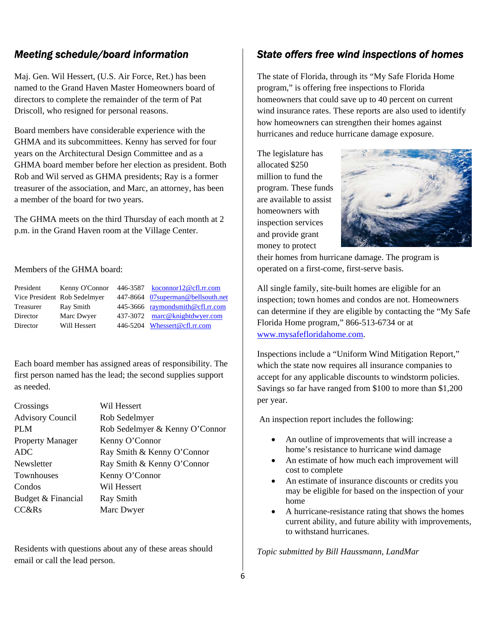#### *Meeting schedule/board information*

Maj. Gen. Wil Hessert, (U.S. Air Force, Ret.) has been named to the Grand Haven Master Homeowners board of directors to complete the remainder of the term of Pat Driscoll, who resigned for personal reasons.

Board members have considerable experience with the GHMA and its subcommittees. Kenny has served for four years on the Architectural Design Committee and as a GHMA board member before her election as president. Both Rob and Wil served as GHMA presidents; Ray is a former treasurer of the association, and Marc, an attorney, has been a member of the board for two years.

The GHMA meets on the third Thursday of each month at 2 p.m. in the Grand Haven room at the Village Center.

#### Members of the GHMA board:

| President | Kenny O'Connor               | 446-3587 koconnor12@cfl.rr.com     |
|-----------|------------------------------|------------------------------------|
|           | Vice President Rob Sedelmyer | 447-8664 07 superman@bellsouth.net |
| Treasurer | Ray Smith                    | 445-3666 raymondsmith@cfl.rr.com   |
| Director  | Marc Dwyer                   | 437-3072 marc@knightdwyer.com      |
| Director  | Will Hessert                 | 446-5204 Whessert@cfl.rr.com       |

Each board member has assigned areas of responsibility. The first person named has the lead; the second supplies support as needed.

| Crossings               | Wil Hessert                    |
|-------------------------|--------------------------------|
| <b>Advisory Council</b> | Rob Sedelmyer                  |
| <b>PLM</b>              | Rob Sedelmyer & Kenny O'Connor |
| <b>Property Manager</b> | Kenny O'Connor                 |
| <b>ADC</b>              | Ray Smith & Kenny O'Connor     |
| Newsletter              | Ray Smith & Kenny O'Connor     |
| Townhouses              | Kenny O'Connor                 |
| Condos                  | Wil Hessert                    |
| Budget & Financial      | Ray Smith                      |
| CC&Rs                   | Marc Dwyer                     |
|                         |                                |

Residents with questions about any of these areas should email or call the lead person.

#### *State offers free wind inspections of homes*

The state of Florida, through its "My Safe Florida Home program," is offering free inspections to Florida homeowners that could save up to 40 percent on current wind insurance rates. These reports are also used to identify how homeowners can strengthen their homes against hurricanes and reduce hurricane damage exposure.

The legislature has allocated \$250 million to fund the program. These funds are available to assist homeowners with inspection services and provide grant money to protect



their homes from hurricane damage. The program is operated on a first-come, first-serve basis.

All single family, site-built homes are eligible for an inspection; town homes and condos are not. Homeowners can determine if they are eligible by contacting the "My Safe Florida Home program," 866-513-6734 or at [www.mysafefloridahome.com.](http://www.mysafefloridahome.com/)

Inspections include a "Uniform Wind Mitigation Report," which the state now requires all insurance companies to accept for any applicable discounts to windstorm policies. Savings so far have ranged from \$100 to more than \$1,200 per year.

An inspection report includes the following:

- An outline of improvements that will increase a home's resistance to hurricane wind damage
- An estimate of how much each improvement will cost to complete
- An estimate of insurance discounts or credits you may be eligible for based on the inspection of your home
- A hurricane-resistance rating that shows the homes current ability, and future ability with improvements, to withstand hurricanes.

*Topic submitted by Bill Haussmann, LandMar*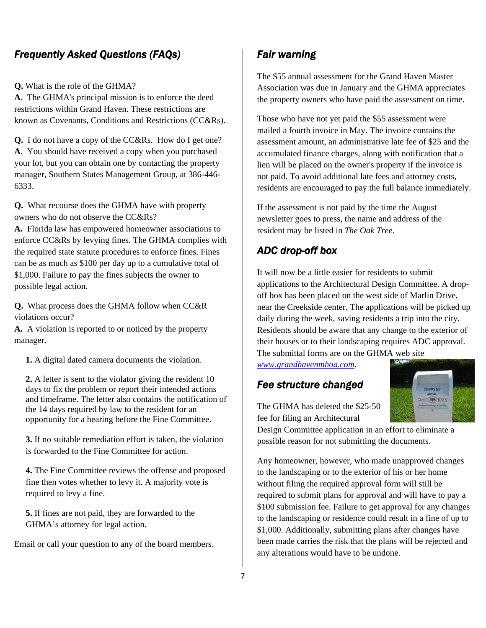#### **Frequently Asked Questions (FAQs) Fair warning**

#### **Q.** What is the role of the GHMA?

**A.** The GHMA's principal mission is to enforce the deed restrictions within Grand Haven. These restrictions are known as Covenants, Conditions and Restrictions (CC&Rs). Those who have not yet paid the \$55 assessment were

**Q.** I do not have a copy of the CC&Rs. How do I get one? **A**. You should have received a copy when you purchased your lot, but you can obtain one by contacting the property manager, Southern States Management Group, at 386-446- 6333.

**Q.** What recourse does the GHMA have with property owners who do not observe the CC&Rs?

**A.** Florida law has empowered homeowner associations to enforce CC&Rs by levying fines. The GHMA complies with the required state statute procedures to enforce fines. Fines can be as much as \$100 per day up to a cumulative total of \$1,000. Failure to pay the fines subjects the owner to possible legal action.

**Q.** What process does the GHMA follow when CC&R violations occur?

**A.** A violation is reported to or noticed by the property manager.

**1.** A digital dated camera documents the violation.

**2.** A letter is sent to the violator giving the resident 10 days to fix the problem or report their intended actions and timeframe. The letter also contains the notification of the 14 days required by law to the resident for an opportunity for a hearing before the Fine Committee.

**3.** If no suitable remediation effort is taken, the violation is forwarded to the Fine Committee for action.

**4.** The Fine Committee reviews the offense and proposed fine then votes whether to levy it. A majority vote is required to levy a fine.

**5.** If fines are not paid, they are forwarded to the GHMA's attorney for legal action.

Email or call your question to any of the board members.

The \$55 annual assessment for the Grand Haven Master Association was due in January and the GHMA appreciates the property owners who have paid the assessment on time.

mailed a fourth invoice in May. The invoice contains the assessment amount, an administrative late fee of \$25 and the accumulated finance charges, along with notification that a lien will be placed on the owner's property if the invoice is not paid. To avoid additional late fees and attorney costs, residents are encouraged to pay the full balance immediately.

If the assessment is not paid by the time the August newsletter goes to press, the name and address of the resident may be listed in *The Oak Tree*.

#### *ADC drop-off box*

It will now be a little easier for residents to submit applications to the Architectural Design Committee. A dropoff box has been placed on the west side of Marlin Drive, near the Creekside center. The applications will be picked up daily during the week, saving residents a trip into the city. Residents should be aware that any change to the exterior of their houses or to their landscaping requires ADC approval. The submittal forms are on the GHMA web site

*[www.grandhavenmhoa.com](http://www.grandhavenmhoa.com/)*.

#### *Fee structure changed*



The GHMA has deleted the \$25-50 fee for filing an Architectural

Design Committee application in an effort to eliminate a possible reason for not submitting the documents.

Any homeowner, however, who made unapproved changes to the landscaping or to the exterior of his or her home without filing the required approval form will still be required to submit plans for approval and will have to pay a \$100 submission fee. Failure to get approval for any changes to the landscaping or residence could result in a fine of up to \$1,000. Additionally, submitting plans after changes have been made carries the risk that the plans will be rejected and any alterations would have to be undone.